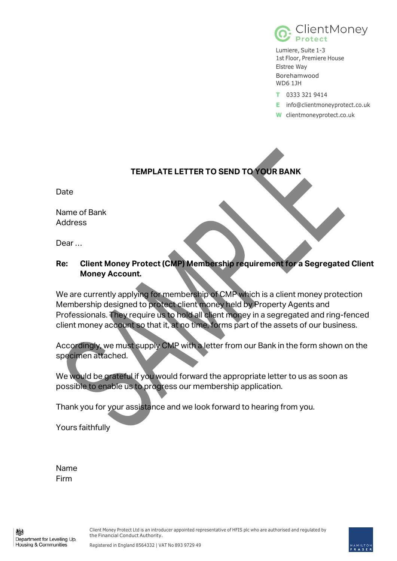

Lumiere, Suite 1-3 1st Floor, Premiere House Elstree Way Borehamwood WD6 1JH

- **T** 0333 321 9414
- **E** info@clientmoneyprotect.co.uk
- **W** clientmoneyprotect.co.uk

## **TEMPLATE LETTER TO SEND TO YOUR BANK**

Date

Name of Bank Address

Dear …

## **Re: Client Money Protect (CMP) Membership requirement for a Segregated Client Money Account.**

We are currently applying for membership of CMP which is a client money protection Membership designed to protect client money held by Property Agents and Professionals. They require us to hold all client money in a segregated and ring-fenced client money account so that it, at no time, forms part of the assets of our business.

Accordingly, we must supply CMP with a letter from our Bank in the form shown on the specimen attached.

We would be grateful if you would forward the appropriate letter to us as soon as possible to enable us to progress our membership application.

Thank you for your assistance and we look forward to hearing from you.

Yours faithfully

Name Firm